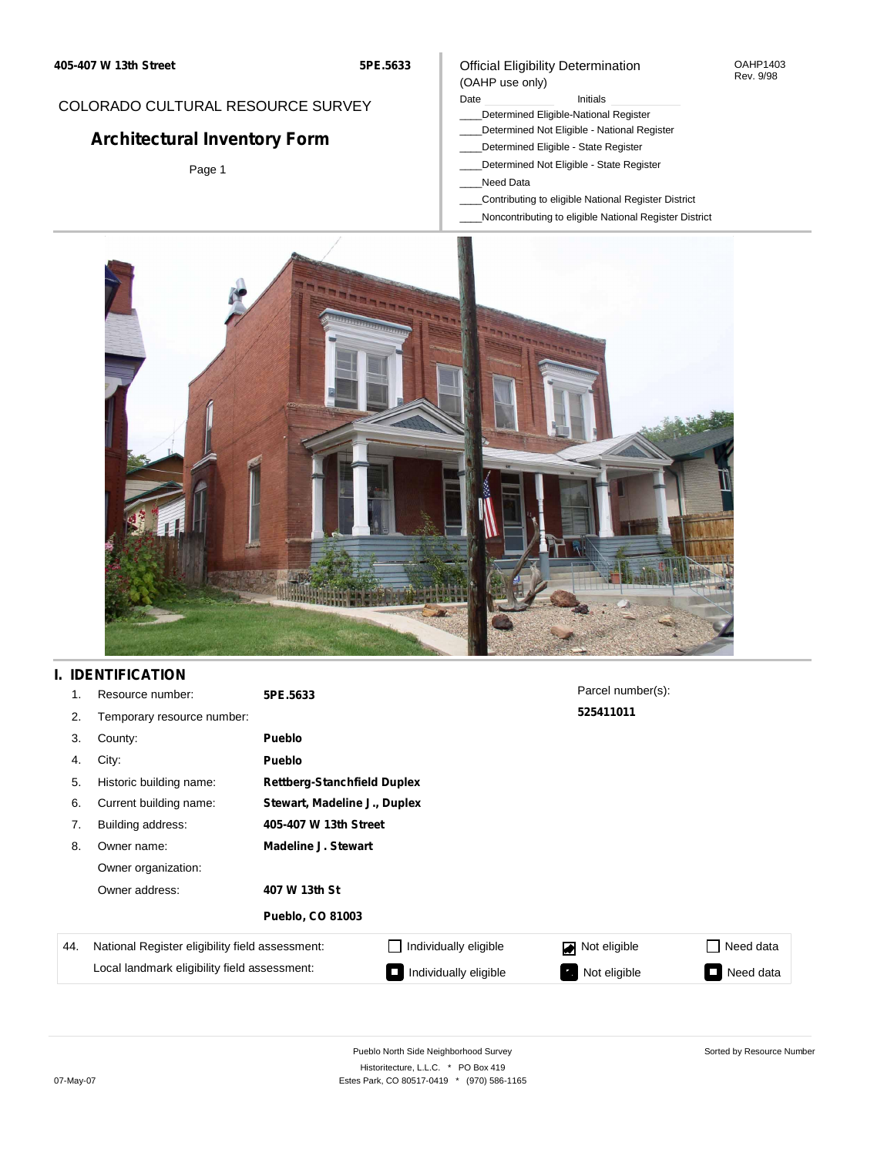**5PE.5633**

## COLORADO CULTURAL RESOURCE SURVEY

# **Architectural Inventory Form**

Page 1

#### Official Eligibility Determination (OAHP use only)

## Date **Initials** Initials

- \_\_\_\_Determined Eligible-National Register
- \_\_\_\_Determined Not Eligible National Register
- \_\_\_\_Determined Eligible State Register
- \_\_\_\_Determined Not Eligible State Register
- \_\_\_\_Need Data
- \_\_\_\_Contributing to eligible National Register District
- \_\_\_\_Noncontributing to eligible National Register District



## **I. IDENTIFICATION**

| 1.  | Resource number:                                | 5PE.5633                   |                                    | Parcel number(s): |                     |  |  |  |
|-----|-------------------------------------------------|----------------------------|------------------------------------|-------------------|---------------------|--|--|--|
| 2.  | Temporary resource number:                      |                            |                                    | 525411011         |                     |  |  |  |
| 3.  | County:                                         | <b>Pueblo</b>              |                                    |                   |                     |  |  |  |
| 4.  | City:                                           | <b>Pueblo</b>              |                                    |                   |                     |  |  |  |
| 5.  | Historic building name:                         |                            | <b>Rettberg-Stanchfield Duplex</b> |                   |                     |  |  |  |
| 6.  | Current building name:                          |                            | Stewart, Madeline J., Duplex       |                   |                     |  |  |  |
| 7.  | Building address:                               | 405-407 W 13th Street      |                                    |                   |                     |  |  |  |
| 8.  | Owner name:                                     | <b>Madeline J. Stewart</b> |                                    |                   |                     |  |  |  |
|     | Owner organization:                             |                            |                                    |                   |                     |  |  |  |
|     | Owner address:                                  | 407 W 13th St              |                                    |                   |                     |  |  |  |
|     |                                                 | <b>Pueblo, CO 81003</b>    |                                    |                   |                     |  |  |  |
| 44. | National Register eligibility field assessment: |                            | Individually eligible              | Not eligible      | Need data           |  |  |  |
|     | Local landmark eligibility field assessment:    |                            | Individually eligible              | Not eligible      | Need data<br>$\sim$ |  |  |  |

OAHP1403 Rev. 9/98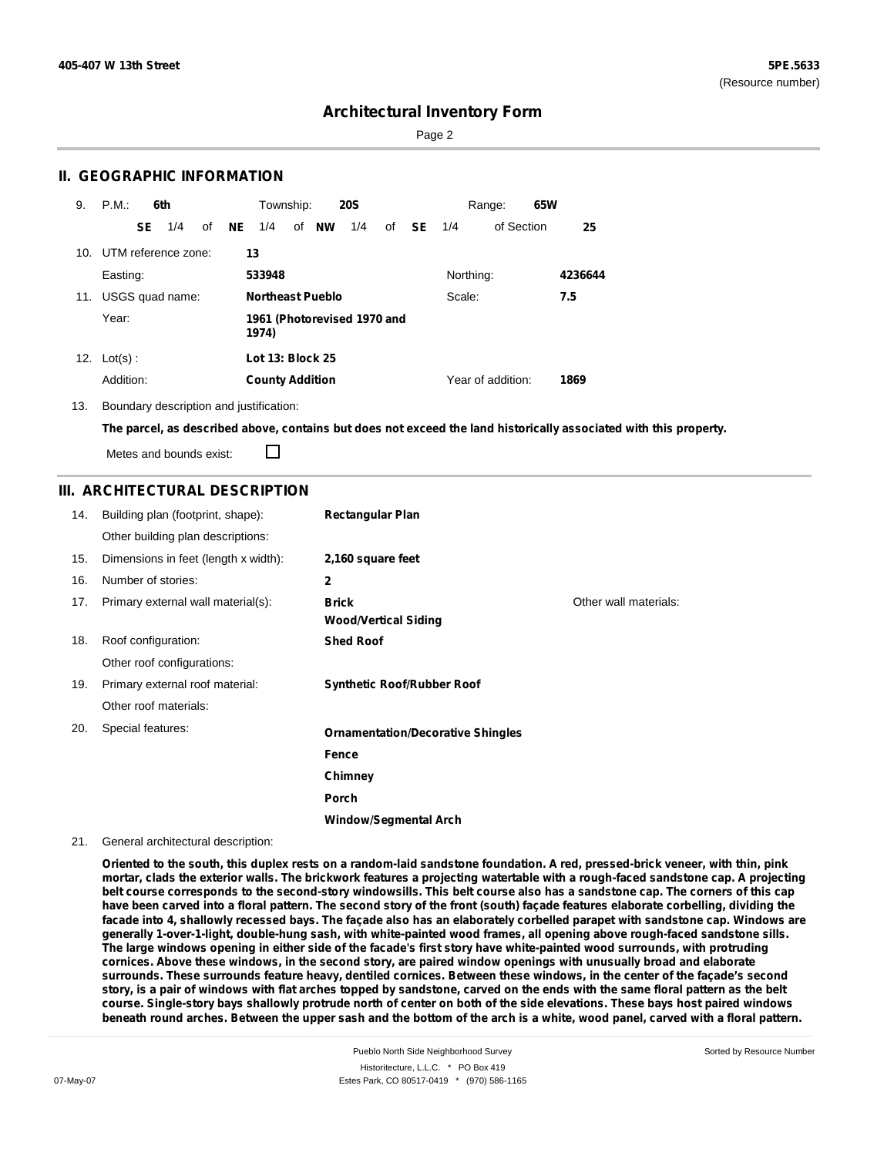Sorted by Resource Number

## **Architectural Inventory Form**

Page 2

#### **II. GEOGRAPHIC INFORMATION**

| 9.  | P.M.           |     | 6th                     |    |           | Township:               |                         | <b>20S</b>                  |    |           |           | Range:            | 65W |         |
|-----|----------------|-----|-------------------------|----|-----------|-------------------------|-------------------------|-----------------------------|----|-----------|-----------|-------------------|-----|---------|
|     |                | SE. | 1/4                     | of | <b>NE</b> | 1/4                     | of NW                   | 1/4                         | of | <b>SE</b> | 1/4       | of Section        |     | 25      |
|     |                |     | 10. UTM reference zone: |    | 13        |                         |                         |                             |    |           |           |                   |     |         |
|     | Easting:       |     |                         |    |           | 533948                  |                         |                             |    |           | Northing: |                   |     | 4236644 |
| 11. |                |     | USGS quad name:         |    |           |                         | <b>Northeast Pueblo</b> |                             |    |           | Scale:    |                   |     | 7.5     |
|     | Year:          |     |                         |    |           | 1974)                   |                         | 1961 (Photorevised 1970 and |    |           |           |                   |     |         |
|     | 12. $Lot(s)$ : |     |                         |    |           | <b>Lot 13: Block 25</b> |                         |                             |    |           |           |                   |     |         |
|     | Addition:      |     |                         |    |           | <b>County Addition</b>  |                         |                             |    |           |           | Year of addition: |     | 1869    |

13. Boundary description and justification:

The parcel, as described above, contains but does not exceed the land historically associated with this property.

Metes and bounds exist:

П

## **III. ARCHITECTURAL DESCRIPTION**

| 14. | Building plan (footprint, shape):    | <b>Rectangular Plan</b>                     |                       |
|-----|--------------------------------------|---------------------------------------------|-----------------------|
|     | Other building plan descriptions:    |                                             |                       |
| 15. | Dimensions in feet (length x width): | 2,160 square feet                           |                       |
| 16. | Number of stories:                   | 2                                           |                       |
| 17. | Primary external wall material(s):   | <b>Brick</b><br><b>Wood/Vertical Siding</b> | Other wall materials: |
| 18. | Roof configuration:                  | <b>Shed Roof</b>                            |                       |
|     | Other roof configurations:           |                                             |                       |
| 19. | Primary external roof material:      | <b>Synthetic Roof/Rubber Roof</b>           |                       |
|     | Other roof materials:                |                                             |                       |
| 20. | Special features:                    | <b>Ornamentation/Decorative Shingles</b>    |                       |
|     |                                      | Fence                                       |                       |
|     |                                      | Chimney                                     |                       |
|     |                                      | <b>Porch</b>                                |                       |
|     |                                      | Window/Segmental Arch                       |                       |

#### 21. General architectural description:

Oriented to the south, this duplex rests on a random-laid sandstone foundation. A red, pressed-brick veneer, with thin, pink mortar, clads the exterior walls. The brickwork features a projecting watertable with a rough-faced sandstone cap. A projecting belt course corresponds to the second-story windowsills. This belt course also has a sandstone cap. The corners of this cap have been carved into a floral pattern. The second story of the front (south) facade features elaborate corbelling, dividing the facade into 4, shallowly recessed bays. The façade also has an elaborately corbelled parapet with sandstone cap. Windows are **generally 1-over-1-light, double-hung sash, with white-painted wood frames, all opening above rough-faced sandstone sills.** The large windows opening in either side of the facade's first story have white-painted wood surrounds, with protruding cornices. Above these windows, in the second story, are paired window openings with unusually broad and elaborate surrounds. These surrounds feature heavy, dentiled cornices. Between these windows, in the center of the facade's second story, is a pair of windows with flat arches topped by sandstone, carved on the ends with the same floral pattern as the belt course. Single-story bays shallowly protrude north of center on both of the side elevations. These bays host paired windows beneath round arches. Between the upper sash and the bottom of the arch is a white, wood panel, carved with a floral pattern.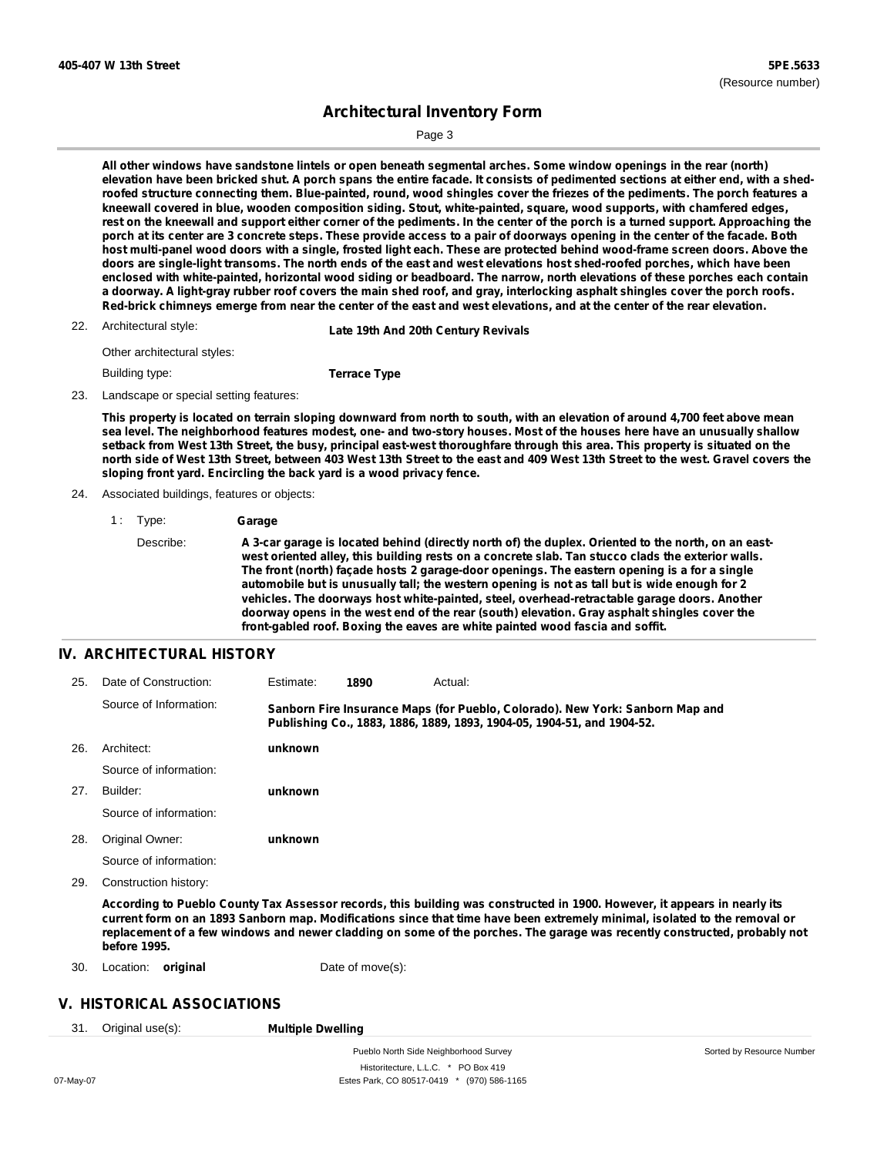Page 3

All other windows have sandstone lintels or open beneath segmental arches. Some window openings in the rear (north) elevation have been bricked shut. A porch spans the entire facade. It consists of pedimented sections at either end, with a shedroofed structure connecting them. Blue-painted, round, wood shingles cover the friezes of the pediments. The porch features a **kneewall covered in blue, wooden composition siding. Stout, white-painted, square, wood supports, with chamfered edges,** rest on the kneewall and support either corner of the pediments. In the center of the porch is a turned support. Approaching the porch at its center are 3 concrete steps. These provide access to a pair of doorways opening in the center of the facade. Both host multi-panel wood doors with a single, frosted light each. These are protected behind wood-frame screen doors. Above the doors are single-light transoms. The north ends of the east and west elevations host shed-roofed porches, which have been enclosed with white-painted, horizontal wood siding or beadboard. The narrow, north elevations of these porches each contain a doorway. A light-gray rubber roof covers the main shed roof, and gray, interlocking asphalt shingles cover the porch roofs. Red-brick chimneys emerge from near the center of the east and west elevations, and at the center of the rear elevation.

Architectural style: 22. **Late 19th And 20th Century Revivals**

Other architectural styles:

Building type:

**Terrace Type**

23. Landscape or special setting features:

This property is located on terrain sloping downward from north to south, with an elevation of around 4,700 feet above mean sea level. The neighborhood features modest, one- and two-story houses. Most of the houses here have an unusually shallow setback from West 13th Street, the busy, principal east-west thoroughfare through this area. This property is situated on the north side of West 13th Street, between 403 West 13th Street to the east and 409 West 13th Street to the west. Gravel covers the **sloping front yard. Encircling the back yard is a wood privacy fence.**

- 24. Associated buildings, features or objects:
	- 1 : Type: **Garage**

Describe: A 3-car garage is located behind (directly north of) the duplex. Oriented to the north, on an east**west oriented alley, this building rests on a concrete slab. Tan stucco clads the exterior walls. The front (north) façade hosts 2 garage-door openings. The eastern opening is a for a single automobile but is unusually tall; the western opening is not as tall but is wide enough for 2 vehicles. The doorways host white-painted, steel, overhead-retractable garage doors. Another doorway opens in the west end of the rear (south) elevation. Gray asphalt shingles cover the front-gabled roof. Boxing the eaves are white painted wood fascia and soffit.**

### **IV. ARCHITECTURAL HISTORY**

| 25. | Date of Construction:  | Estimate: | 1890 | Actual:                                                                                                                                                 |  |
|-----|------------------------|-----------|------|---------------------------------------------------------------------------------------------------------------------------------------------------------|--|
|     | Source of Information: |           |      | Sanborn Fire Insurance Maps (for Pueblo, Colorado). New York: Sanborn Map and<br>Publishing Co., 1883, 1886, 1889, 1893, 1904-05, 1904-51, and 1904-52. |  |
| 26. | Architect:             | unknown   |      |                                                                                                                                                         |  |
|     | Source of information: |           |      |                                                                                                                                                         |  |
| 27. | Builder:               | unknown   |      |                                                                                                                                                         |  |
|     | Source of information: |           |      |                                                                                                                                                         |  |
| 28. | Original Owner:        | unknown   |      |                                                                                                                                                         |  |
|     | Source of information: |           |      |                                                                                                                                                         |  |
| 29. | Construction history:  |           |      |                                                                                                                                                         |  |

According to Pueblo County Tax Assessor records, this building was constructed in 1900. However, it appears in nearly its current form on an 1893 Sanborn map. Modifications since that time have been extremely minimal, isolated to the removal or replacement of a few windows and newer cladding on some of the porches. The garage was recently constructed, probably not **before 1995.**

- 30. Location: **original** Date of move(s):
	-

#### **V. HISTORICAL ASSOCIATIONS**

31. Original use(s): **Multiple Dwelling**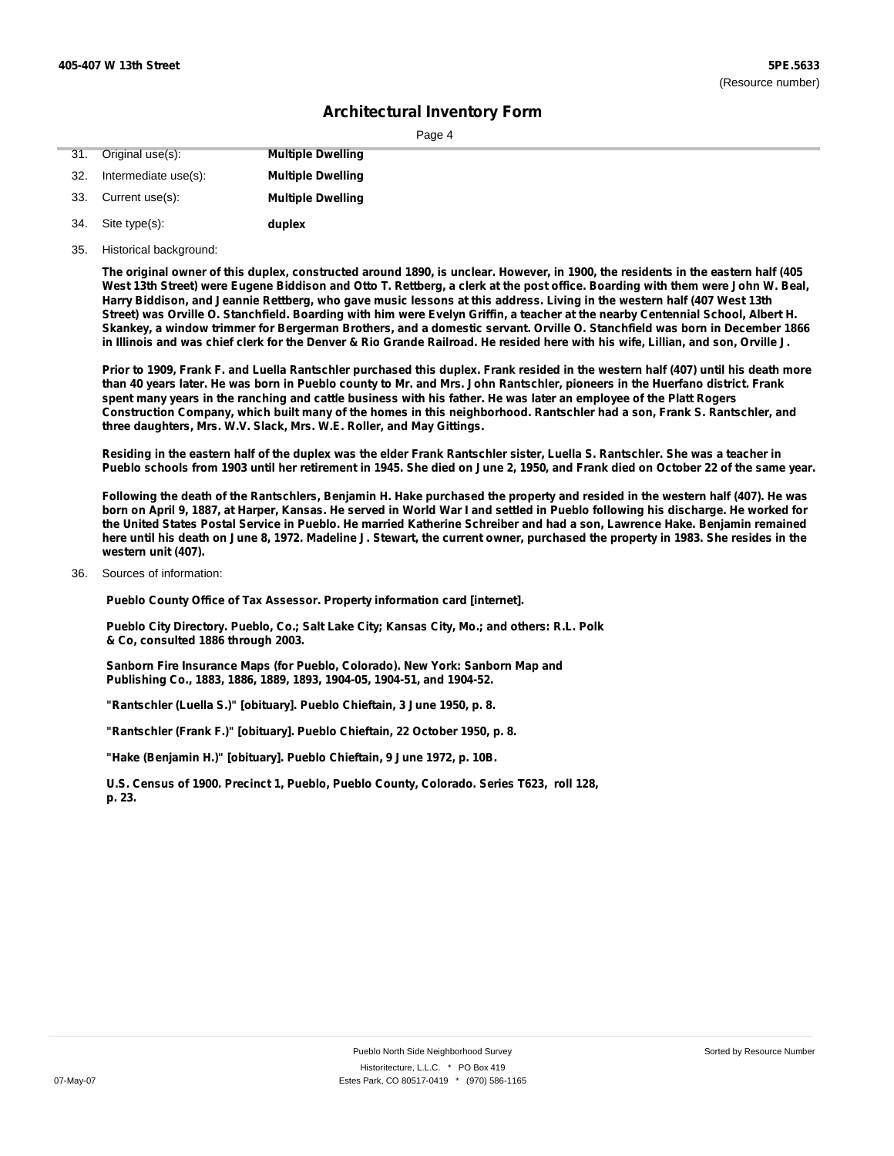| ane |  |  |
|-----|--|--|
|     |  |  |

|     | 31. Original use(s): | <b>Multiple Dwelling</b> |
|-----|----------------------|--------------------------|
| 32. | Intermediate use(s): | <b>Multiple Dwelling</b> |
| 33. | Current use(s):      | <b>Multiple Dwelling</b> |
| 34. | Site type(s):        | duplex                   |

35. Historical background:

The original owner of this duplex, constructed around 1890, is unclear. However, in 1900, the residents in the eastern half (405 West 13th Street) were Eugene Biddison and Otto T. Rettberg, a clerk at the post office. Boarding with them were John W. Beal, Harry Biddison, and Jeannie Rettberg, who gave music lessons at this address. Living in the western half (407 West 13th Street) was Orville O. Stanchfield. Boarding with him were Evelyn Griffin, a teacher at the nearby Centennial School, Albert H. Skankey, a window trimmer for Bergerman Brothers, and a domestic servant. Orville O. Stanchfield was born in December 1866 in Illinois and was chief clerk for the Denver & Rio Grande Railroad. He resided here with his wife, Lillian, and son, Orville J.

Prior to 1909, Frank F. and Luella Rantschler purchased this duplex. Frank resided in the western half (407) until his death more than 40 years later. He was born in Pueblo county to Mr. and Mrs. John Rantschler, pioneers in the Huerfano district. Frank spent many years in the ranching and cattle business with his father. He was later an employee of the Platt Rogers Construction Company, which built many of the homes in this neighborhood. Rantschler had a son, Frank S. Rantschler, and **three daughters, Mrs. W.V. Slack, Mrs. W.E. Roller, and May Gittings.**

Residing in the eastern half of the duplex was the elder Frank Rantschler sister, Luella S. Rantschler. She was a teacher in Pueblo schools from 1903 until her retirement in 1945. She died on June 2, 1950, and Frank died on October 22 of the same year.

Following the death of the Rantschlers, Benjamin H. Hake purchased the property and resided in the western half (407). He was born on April 9, 1887, at Harper, Kansas. He served in World War I and settled in Pueblo following his discharge. He worked for the United States Postal Service in Pueblo. He married Katherine Schreiber and had a son, Lawrence Hake. Benjamin remained here until his death on June 8, 1972. Madeline J. Stewart, the current owner, purchased the property in 1983. She resides in the **western unit (407).**

#### Sources of information: 36.

**Pueblo County Office of Tax Assessor. Property information card [internet].**

**Pueblo City Directory. Pueblo, Co.; Salt Lake City; Kansas City, Mo.; and others: R.L. Polk & Co, consulted 1886 through 2003.**

**Sanborn Fire Insurance Maps (for Pueblo, Colorado). New York: Sanborn Map and Publishing Co., 1883, 1886, 1889, 1893, 1904-05, 1904-51, and 1904-52.**

**"Rantschler (Luella S.)" [obituary]. Pueblo Chieftain, 3 June 1950, p. 8.**

**"Rantschler (Frank F.)" [obituary]. Pueblo Chieftain, 22 October 1950, p. 8.**

**"Hake (Benjamin H.)" [obituary]. Pueblo Chieftain, 9 June 1972, p. 10B.**

**U.S. Census of 1900. Precinct 1, Pueblo, Pueblo County, Colorado. Series T623, roll 128, p. 23.**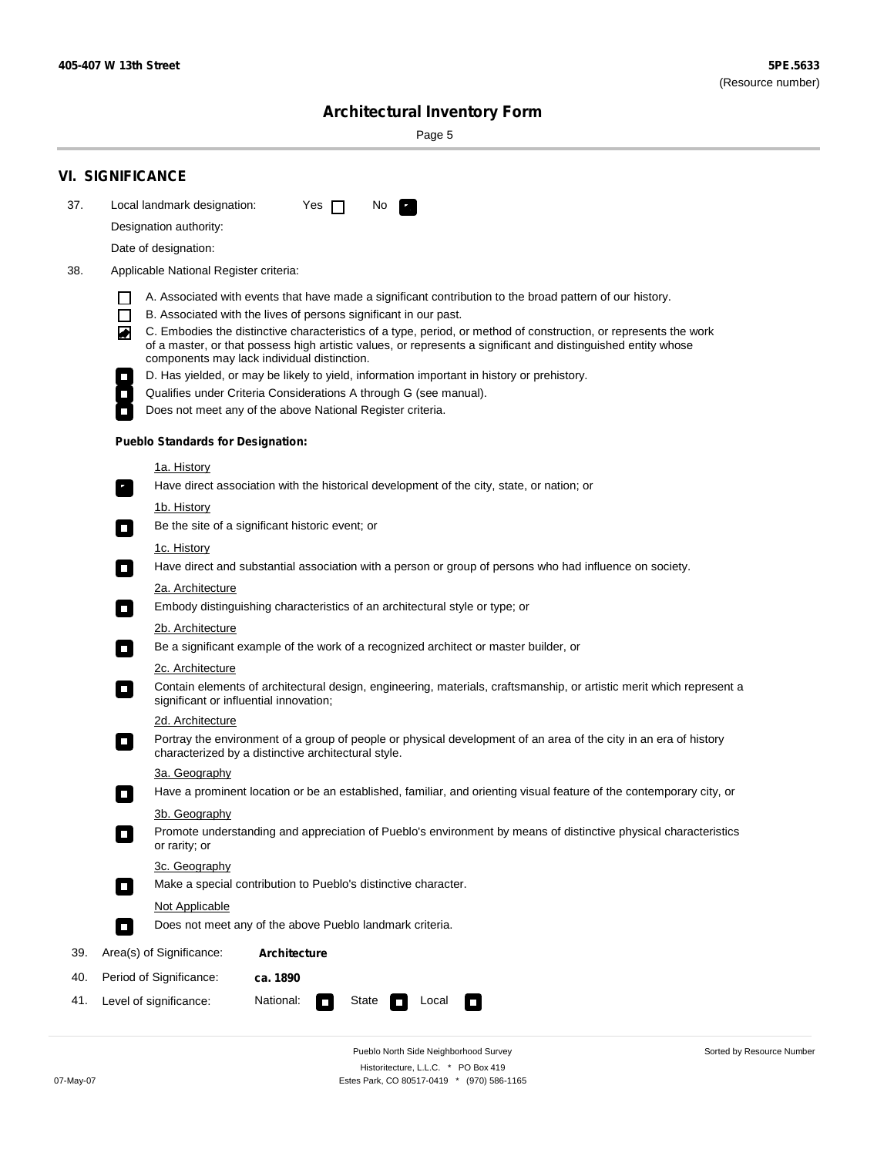۰

# **Architectural Inventory Form**

Page 5

|     | <b>VI. SIGNIFICANCE</b>                                                                                                                                                                                                                |  |
|-----|----------------------------------------------------------------------------------------------------------------------------------------------------------------------------------------------------------------------------------------|--|
| 37. | Local landmark designation:<br>Yes $\Box$<br>No.<br>$\mathcal{F}_\alpha^{\alpha}$                                                                                                                                                      |  |
|     | Designation authority:                                                                                                                                                                                                                 |  |
|     | Date of designation:                                                                                                                                                                                                                   |  |
| 38. | Applicable National Register criteria:                                                                                                                                                                                                 |  |
|     |                                                                                                                                                                                                                                        |  |
|     | A. Associated with events that have made a significant contribution to the broad pattern of our history.<br>ΙI<br>B. Associated with the lives of persons significant in our past.<br>$\Box$                                           |  |
|     | C. Embodies the distinctive characteristics of a type, period, or method of construction, or represents the work<br>◚<br>of a master, or that possess high artistic values, or represents a significant and distinguished entity whose |  |
|     | components may lack individual distinction.<br>D. Has yielded, or may be likely to yield, information important in history or prehistory.                                                                                              |  |
|     | Qualifies under Criteria Considerations A through G (see manual).<br>$\overline{\phantom{a}}$                                                                                                                                          |  |
|     | Does not meet any of the above National Register criteria.                                                                                                                                                                             |  |
|     | <b>Pueblo Standards for Designation:</b>                                                                                                                                                                                               |  |
|     | 1a. History                                                                                                                                                                                                                            |  |
|     | Have direct association with the historical development of the city, state, or nation; or<br>$\overline{\phantom{a}}$ .                                                                                                                |  |
|     | 1b. History                                                                                                                                                                                                                            |  |
|     | Be the site of a significant historic event; or<br>$\Box$                                                                                                                                                                              |  |
|     | 1c. History                                                                                                                                                                                                                            |  |
|     | Have direct and substantial association with a person or group of persons who had influence on society.<br>$\overline{\phantom{a}}$                                                                                                    |  |
|     | 2a. Architecture                                                                                                                                                                                                                       |  |
|     | Embody distinguishing characteristics of an architectural style or type; or                                                                                                                                                            |  |
|     | 2b. Architecture                                                                                                                                                                                                                       |  |
|     | Be a significant example of the work of a recognized architect or master builder, or<br>$\overline{\phantom{a}}$                                                                                                                       |  |
|     | 2c. Architecture<br>Contain elements of architectural design, engineering, materials, craftsmanship, or artistic merit which represent a<br>$\Box$<br>significant or influential innovation;                                           |  |
|     | 2d. Architecture                                                                                                                                                                                                                       |  |
|     | Portray the environment of a group of people or physical development of an area of the city in an era of history<br>$\overline{\phantom{a}}$<br>characterized by a distinctive architectural style.                                    |  |
|     | 3a. Geography                                                                                                                                                                                                                          |  |
|     | Have a prominent location or be an established, familiar, and orienting visual feature of the contemporary city, or                                                                                                                    |  |
|     | 3b. Geography                                                                                                                                                                                                                          |  |
|     | Promote understanding and appreciation of Pueblo's environment by means of distinctive physical characteristics<br>or rarity; or                                                                                                       |  |
|     | 3c. Geography                                                                                                                                                                                                                          |  |
|     | Make a special contribution to Pueblo's distinctive character.<br>$\Box$                                                                                                                                                               |  |
|     | <b>Not Applicable</b>                                                                                                                                                                                                                  |  |
|     | Does not meet any of the above Pueblo landmark criteria.<br>$\Box$                                                                                                                                                                     |  |
| 39. | Area(s) of Significance:<br><b>Architecture</b>                                                                                                                                                                                        |  |
| 40. | Period of Significance:<br>ca. 1890                                                                                                                                                                                                    |  |
| 41. | National:<br>Level of significance:<br>State<br>Local<br>O<br><b>T</b>                                                                                                                                                                 |  |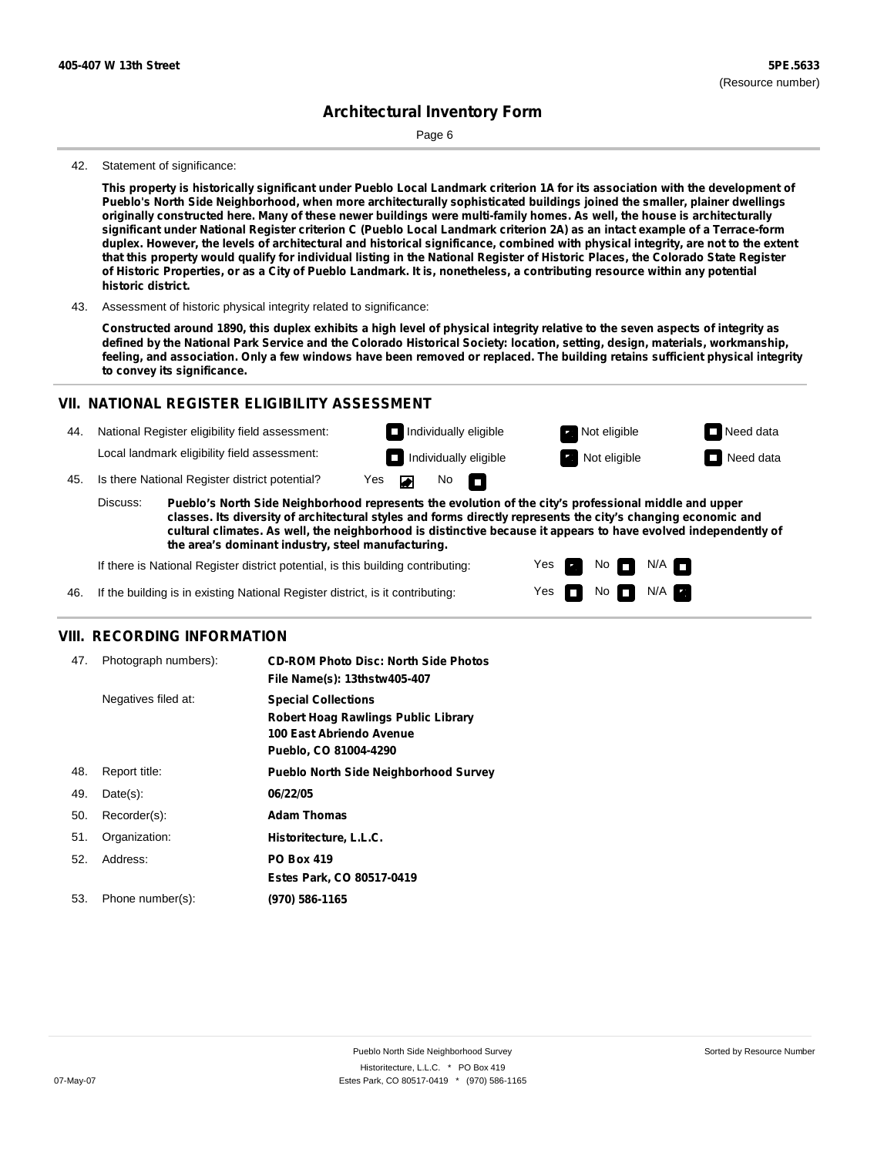Page 6

#### 42. Statement of significance:

This property is historically significant under Pueblo Local Landmark criterion 1A for its association with the development of **Pueblo's North Side Neighborhood, when more architecturally sophisticated buildings joined the smaller, plainer dwellings** originally constructed here. Many of these newer buildings were multi-family homes. As well, the house is architecturally significant under National Register criterion C (Pueblo Local Landmark criterion 2A) as an intact example of a Terrace-form duplex. However, the levels of architectural and historical significance, combined with physical integrity, are not to the extent that this property would qualify for individual listing in the National Register of Historic Places, the Colorado State Register of Historic Properties, or as a City of Pueblo Landmark. It is, nonetheless, a contributing resource within any potential **historic district.**

43. Assessment of historic physical integrity related to significance:

Constructed around 1890, this duplex exhibits a high level of physical integrity relative to the seven aspects of integrity as defined by the National Park Service and the Colorado Historical Society: location, setting, design, materials, workmanship, feeling, and association. Only a few windows have been removed or replaced. The building retains sufficient physical integrity **to convey its significance.**

#### **VII. NATIONAL REGISTER ELIGIBILITY ASSESSMENT**

44. National Register eligibility field assessment: Local landmark eligibility field assessment:

45. Is there National Register district potential? Yes

**Pueblo's North Side Neighborhood represents the evolution of the city's professional middle and upper classes. Its diversity of architectural styles and forms directly represents the city's changing economic and cultural climates. As well, the neighborhood is distinctive because it appears to have evolved independently of the area's dominant industry, steel manufacturing.** Discuss:

 $\blacksquare$ 

 $N$ o  $\Box$ 

Yes Yes No

**Individually eligible Not eligible** Not eligible **Need data Individually eligible Not eligible Not eligible Need data** 

 $No$   $N/A$ 

N/A

If there is National Register district potential, is this building contributing:

46. If the building is in existing National Register district, is it contributing:

#### **VIII. RECORDING INFORMATION**

| 47. | Photograph numbers): | <b>CD-ROM Photo Disc: North Side Photos</b><br>File Name(s): 13thstw405-407                                                   |
|-----|----------------------|-------------------------------------------------------------------------------------------------------------------------------|
|     | Negatives filed at:  | <b>Special Collections</b><br><b>Robert Hoag Rawlings Public Library</b><br>100 East Abriendo Avenue<br>Pueblo, CO 81004-4290 |
| 48. | Report title:        | <b>Pueblo North Side Neighborhood Survey</b>                                                                                  |
| 49. | $Date(s)$ :          | 06/22/05                                                                                                                      |
| 50. | Recorder(s):         | <b>Adam Thomas</b>                                                                                                            |
| 51. | Organization:        | Historitecture, L.L.C.                                                                                                        |
| 52. | Address:             | <b>PO Box 419</b>                                                                                                             |
|     |                      | Estes Park, CO 80517-0419                                                                                                     |
| 53. | Phone number(s):     | (970) 586-1165                                                                                                                |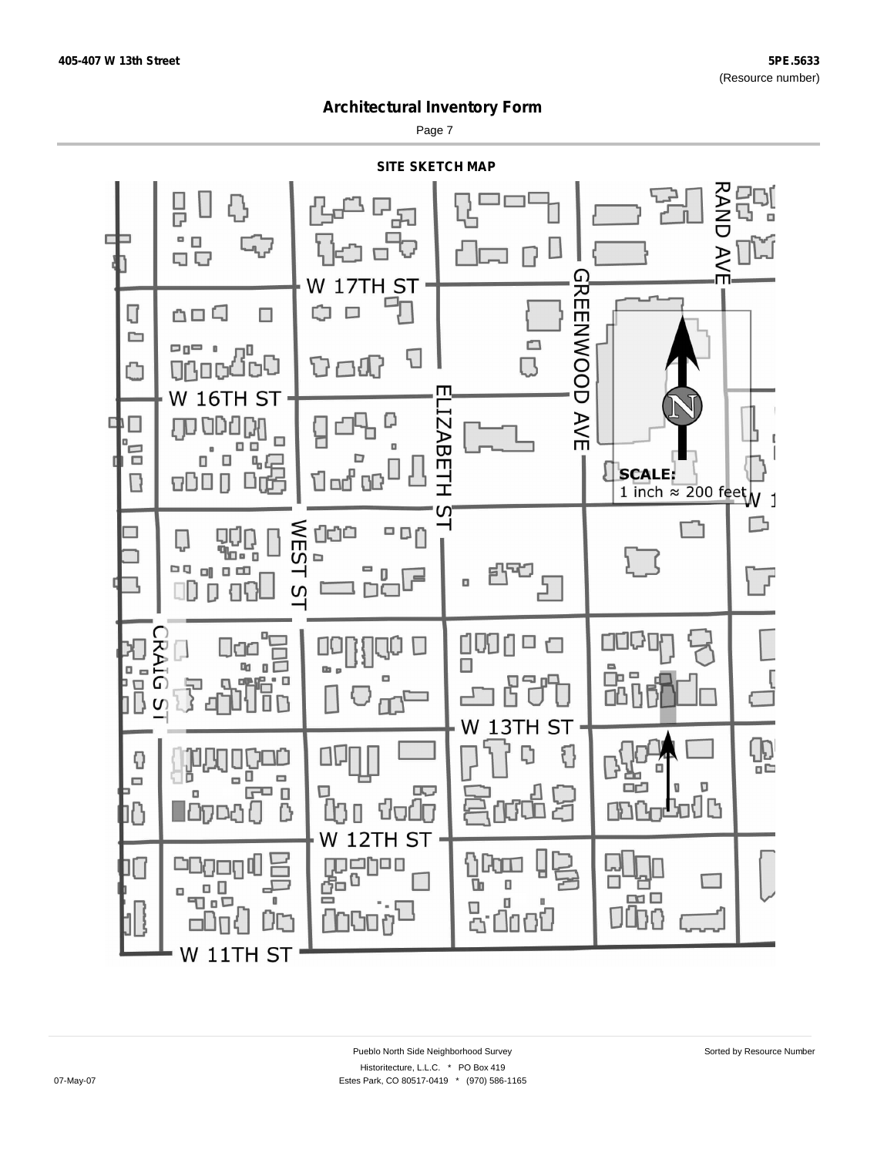Page 7